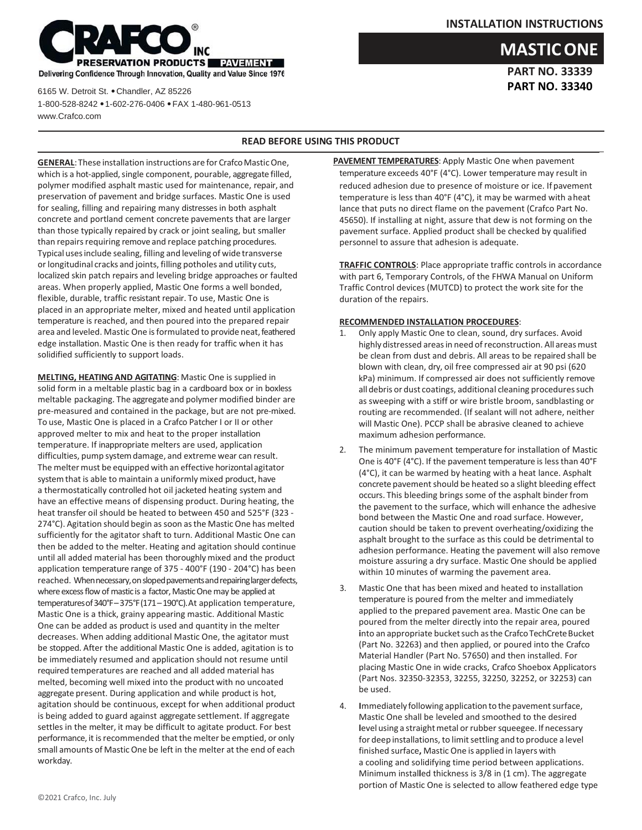

**PART NO. 33339 PART NO. 33340**

**MASTICONE**



6165 W. Detroit St. ⚫ Chandler, AZ 85226 1-800-528-8242 ⚫ 1-602-276-0406 ⚫ FAX 1-480-961-0513 www.Crafco.com

## **READ BEFORE USING THIS PRODUCT**

**GENERAL:** These installation instructions are for Crafco Mastic One, which is a hot-applied, single component, pourable, aggregate filled, polymer modified asphalt mastic used for maintenance, repair, and preservation of pavement and bridge surfaces. Mastic One is used for sealing, filling and repairing many distresses in both asphalt concrete and portland cement concrete pavements that are larger than those typically repaired by crack or joint sealing, but smaller than repairs requiring remove and replace patching procedures. Typical usesinclude sealing, filling and leveling of wide transverse or longitudinal cracks and joints, filling potholes and utility cuts, localized skin patch repairs and leveling bridge approaches or faulted areas. When properly applied, Mastic One forms a well bonded, flexible, durable, traffic resistant repair. To use, Mastic One is placed in an appropriate melter, mixed and heated until application temperature is reached, and then poured into the prepared repair area and leveled. Mastic One is formulated to provide neat, feathered edge installation. Mastic One is then ready for traffic when it has solidified sufficiently to support loads.

**MELTING, HEATING AND AGITATING**: Mastic One is supplied in solid form in a meltable plastic bag in a cardboard box or in boxless meltable packaging. The aggregate and polymer modified binder are pre‐measured and contained in the package, but are not pre‐mixed. To use, Mastic One is placed in a Crafco Patcher I or II or other approved melter to mix and heat to the proper installation temperature. If inappropriate melters are used, application difficulties, pump systemdamage, and extreme wear can result. The melter must be equipped with an effective horizontal agitator system that is able to maintain a uniformly mixed product, have a thermostatically controlled hot oil jacketed heating system and have an effective means of dispensing product. During heating, the heat transfer oil should be heated to between 450 and 525°F (323 ‐ 274°C). Agitation should begin as soon asthe MasticOne has melted sufficiently for the agitator shaft to turn. Additional Mastic One can then be added to the melter. Heating and agitation should continue until all added material has been thoroughly mixed and the product application temperature range of 375 ‐ 400°F (190 ‐ 204°C) has been reached. When necessary, on sloped pavements and repairing larger defects, where excess flow of mastic is a factor, Mastic One may be applied at temperaturesof340°F–375°F(171–190°C).At application temperature, Mastic One is a thick, grainy appearing mastic. Additional Mastic One can be added as product is used and quantity in the melter decreases. When adding additional Mastic One, the agitator must be stopped. After the additional Mastic One is added, agitation is to be immediately resumed and application should not resume until required temperatures are reached and all added material has melted, becoming well mixed into the product with no uncoated aggregate present. During application and while product is hot, agitation should be continuous, except for when additional product is being added to guard against aggregate settlement. If aggregate settles in the melter, it may be difficult to agitate product. For best performance, it is recommended that the melter be emptied, or only small amounts of MasticOne be left in the melter at the end of each workday.

**PAVEMENT TEMPERATURES**: Apply Mastic One when pavement temperature exceeds 40°F (4°C). Lower temperature may result in reduced adhesion due to presence of moisture or ice. If pavement temperature is less than 40°F (4°C), it may be warmed with aheat lance that puts no direct flame on the pavement (Crafco Part No. 45650). If installing at night, assure that dew is not forming on the pavement surface. Applied product shall be checked by qualified personnel to assure that adhesion is adequate.

**TRAFFIC CONTROLS**: Place appropriate traffic controls in accordance with part 6, Temporary Controls, of the FHWA Manual on Uniform Traffic Control devices (MUTCD) to protect the work site for the duration of the repairs.

## **RECOMMENDED INSTALLATION PROCEDURES**:

- 1. Only apply Mastic One to clean, sound, dry surfaces. Avoid highly distressed areas in need of reconstruction. All areas must be clean from dust and debris. All areas to be repaired shall be blown with clean, dry, oil free compressed air at 90 psi (620 kPa) minimum. If compressed air does not sufficiently remove all debris or dust coatings, additional cleaning procedures such as sweeping with a stiff or wire bristle broom, sandblasting or routing are recommended. (If sealant will not adhere, neither will Mastic One). PCCP shall be abrasive cleaned to achieve maximum adhesion performance.
- 2. The minimum pavement temperature for installation of Mastic One is 40°F (4°C). If the pavement temperature is less than 40°F (4°C), it can be warmed by heating with a heat lance. Asphalt concrete pavement should be heated so a slight bleeding effect occurs. This bleeding brings some of the asphalt binder from the pavement to the surface, which will enhance the adhesive bond between the Mastic One and road surface. However, caution should be taken to prevent overheating/oxidizing the asphalt brought to the surface as this could be detrimental to adhesion performance. Heating the pavement will also remove moisture assuring a dry surface. Mastic One should be applied within 10 minutes of warming the pavement area.
- 3. Mastic One that has been mixed and heated to installation temperature is poured from the melter and immediately applied to the prepared pavement area. Mastic One can be poured from the melter directly into the repair area, poured into an appropriate bucket such as the Crafco TechCrete Bucket (Part No. 32263) and then applied, or poured into the Crafco Material Handler (Part No. 57650) and then installed. For placing Mastic One in wide cracks, Crafco Shoebox Applicators (Part Nos. 32350‐32353, 32255, 32250, 32252, or 32253) can be used.
- 4. **I**mmediatelyfollowing application to the pavementsurface, Mastic One shall be leveled and smoothed to the desired level using a straight metal or rubber squeegee. If necessary for deep installations, to limit settling and to produce a level finished surface**,** Mastic One is applied in layers with a cooling and solidifying time period between applications. Minimum instal**l**ed thickness is 3/8 in (1 cm). The aggregate portion of Mastic One is selected to allow feathered edge type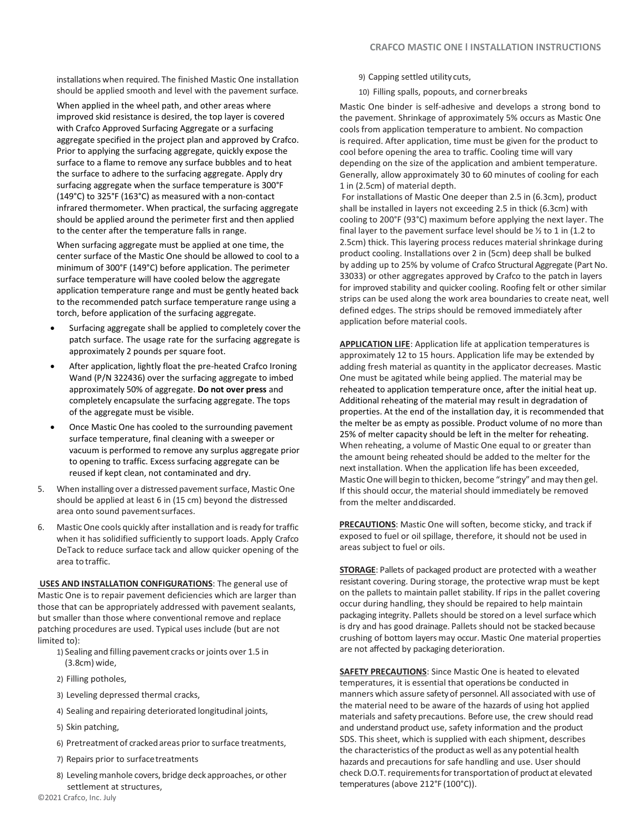installations when required. The finished Mastic One installation should be applied smooth and level with the pavement surface.

When applied in the wheel path, and other areas where improved skid resistance is desired, the top layer is covered with Crafco Approved Surfacing Aggregate or a surfacing aggregate specified in the project plan and approved by Crafco. Prior to applying the surfacing aggregate, quickly expose the surface to a flame to remove any surface bubbles and to heat the surface to adhere to the surfacing aggregate. Apply dry surfacing aggregate when the surface temperature is 300°F (149°C) to 325°F (163°C) as measured with a non‐contact infrared thermometer. When practical, the surfacing aggregate should be applied around the perimeter first and then applied to the center after the temperature falls in range.

When surfacing aggregate must be applied at one time, the center surface of the Mastic One should be allowed to cool to a minimum of 300°F (149°C) before application. The perimeter surface temperature will have cooled below the aggregate application temperature range and must be gently heated back to the recommended patch surface temperature range using a torch, before application of the surfacing aggregate.

- Surfacing aggregate shall be applied to completely cover the patch surface. The usage rate for the surfacing aggregate is approximately 2 pounds per square foot.
- After application, lightly float the pre-heated Crafco Ironing Wand (P/N 322436) over the surfacing aggregate to imbed approximately 50% of aggregate. **Do not over press** and completely encapsulate the surfacing aggregate. The tops of the aggregate must be visible.
- Once Mastic One has cooled to the surrounding pavement surface temperature, final cleaning with a sweeper or vacuum is performed to remove any surplus aggregate prior to opening to traffic. Excess surfacing aggregate can be reused if kept clean, not contaminated and dry.
- 5. When installing over a distressed pavement surface, Mastic One should be applied at least 6 in (15 cm) beyond the distressed area onto sound pavementsurfaces.
- 6. MasticOne cools quickly after installation and isready for traffic when it has solidified sufficiently to support loads. Apply Crafco DeTack to reduce surface tack and allow quicker opening of the area to traffic.

**USES AND INSTALLATION CONFIGURATIONS**: The general use of Mastic One is to repair pavement deficiencies which are larger than those that can be appropriately addressed with pavement sealants, but smaller than those where conventional remove and replace patching procedures are used. Typical uses include (but are not limited to):

- 1) Sealing and filling pavement cracks or joints over 1.5 in (3.8cm) wide,
- 2) Filling potholes,
- 3) Leveling depressed thermal cracks,
- 4) Sealing and repairing deteriorated longitudinal joints,
- 5) Skin patching,
- 6) Pretreatment of crackedareas prior to surface treatments,
- 7) Repairs prior to surfacetreatments
- 8) Leveling manhole covers, bridge deck approaches, or other settlement at structures,
- 9) Capping settled utilitycuts,
- 10) Filling spalls, popouts, and cornerbreaks

Mastic One binder is self‐adhesive and develops a strong bond to the pavement. Shrinkage of approximately 5% occurs as Mastic One cools from application temperature to ambient. No compaction is required. After application, time must be given for the product to cool before opening the area to traffic. Cooling time will vary depending on the size of the application and ambient temperature. Generally, allow approximately 30 to 60 minutes of cooling for each 1 in (2.5cm) of material depth.

For installations of Mastic One deeper than 2.5 in (6.3cm), product shall be installed in layers not exceeding 2.5 in thick (6.3cm) with cooling to 200°F (93°C) maximum before applying the next layer. The final layer to the pavement surface level should be  $\frac{1}{2}$  to 1 in (1.2 to 2.5cm) thick. This layering process reduces material shrinkage during product cooling. Installations over 2 in (5cm) deep shall be bulked by adding up to 25% by volume of Crafco Structural Aggregate (Part No. 33033) or other aggregates approved by Crafco to the patch in layers for improved stability and quicker cooling. Roofing felt or other similar strips can be used along the work area boundaries to create neat, well defined edges. The strips should be removed immediately after application before material cools.

**APPLICATION LIFE**: Application life at application temperatures is approximately 12 to 15 hours. Application life may be extended by adding fresh material as quantity in the applicator decreases. Mastic One must be agitated while being applied. The material may be reheated to application temperature once, after the initial heat up. Additional reheating of the material may result in degradation of properties. At the end of the installation day, it is recommended that the melter be as empty as possible. Product volume of no more than 25% of melter capacity should be left in the melter for reheating. When reheating, a volume of Mastic One equal to or greater than the amount being reheated should be added to the melter for the next installation. When the application life has been exceeded, MasticOne will begin to thicken, become "stringy" and may then gel. If this should occur, the material should immediately be removed from the melter anddiscarded.

**PRECAUTIONS**: Mastic One will soften, become sticky, and track if exposed to fuel or oil spillage, therefore, it should not be used in areas subject to fuel or oils.

**STORAGE**: Pallets of packaged product are protected with a weather resistant covering. During storage, the protective wrap must be kept on the pallets to maintain pallet stability. If rips in the pallet covering occur during handling, they should be repaired to help maintain packaging integrity. Pallets should be stored on a level surface which is dry and has good drainage. Pallets should not be stacked because crushing of bottom layers may occur. Mastic One material properties are not affected by packaging deterioration.

**SAFETY PRECAUTIONS**: Since Mastic One is heated to elevated temperatures, it is essential that operations be conducted in manners which assure safetyof personnel.All associated with use of the material need to be aware of the hazards of using hot applied materials and safety precautions. Before use, the crew should read and understand product use, safety information and the product SDS. This sheet, which is supplied with each shipment, describes the characteristics of the product as well as any potential health hazards and precautions for safe handling and use. User should check D.O.T. requirements for transportation of product at elevated temperatures (above 212°F (100°C)).